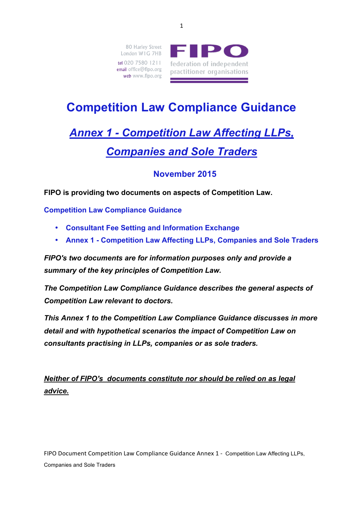

# **Competition Law Compliance Guidance**

# *Annex 1 - Competition Law Affecting LLPs, Companies and Sole Traders*

## **November 2015**

**FIPO is providing two documents on aspects of Competition Law.** 

**Competition Law Compliance Guidance** 

- **Consultant Fee Setting and Information Exchange**
- **Annex 1 - Competition Law Affecting LLPs, Companies and Sole Traders**

*FIPO's two documents are for information purposes only and provide a summary of the key principles of Competition Law.* 

*The Competition Law Compliance Guidance describes the general aspects of Competition Law relevant to doctors.* 

*This Annex 1 to the Competition Law Compliance Guidance discusses in more detail and with hypothetical scenarios the impact of Competition Law on consultants practising in LLPs, companies or as sole traders.* 

*Neither of FIPO's documents constitute nor should be relied on as legal advice.*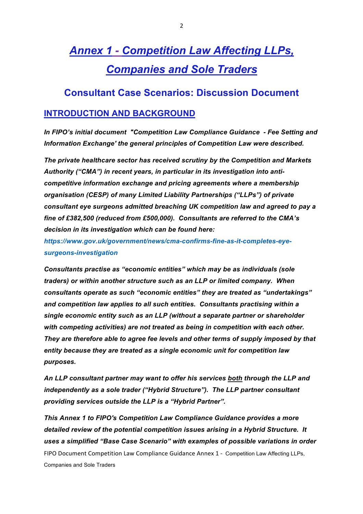# *Annex 1 - Competition Law Affecting LLPs, Companies and Sole Traders*

### **Consultant Case Scenarios: Discussion Document**

#### **INTRODUCTION AND BACKGROUND**

*In FIPO's initial document "Competition Law Compliance Guidance - Fee Setting and Information Exchange' the general principles of Competition Law were described.*

*The private healthcare sector has received scrutiny by the Competition and Markets Authority ("CMA") in recent years, in particular in its investigation into anticompetitive information exchange and pricing agreements where a membership organisation (CESP) of many Limited Liability Partnerships ("LLPs") of private consultant eye surgeons admitted breaching UK competition law and agreed to pay a fine of £382,500 (reduced from £500,000). Consultants are referred to the CMA's decision in its investigation which can be found here:* 

*https://www.gov.uk/government/news/cma-confirms-fine-as-it-completes-eyesurgeons-investigation*

*Consultants practise as "economic entities" which may be as individuals (sole traders) or within another structure such as an LLP or limited company. When consultants operate as such "economic entities" they are treated as "undertakings" and competition law applies to all such entities. Consultants practising within a single economic entity such as an LLP (without a separate partner or shareholder with competing activities) are not treated as being in competition with each other. They are therefore able to agree fee levels and other terms of supply imposed by that entity because they are treated as a single economic unit for competition law purposes.*

*An LLP consultant partner may want to offer his services both through the LLP and independently as a sole trader ("Hybrid Structure"). The LLP partner consultant providing services outside the LLP is a "Hybrid Partner".*

FIPO Document Competition Law Compliance Guidance Annex 1 - Competition Law Affecting LLPs, Companies and Sole Traders *This Annex 1 to FIPO's Competition Law Compliance Guidance provides a more detailed review of the potential competition issues arising in a Hybrid Structure. It uses a simplified "Base Case Scenario" with examples of possible variations in order*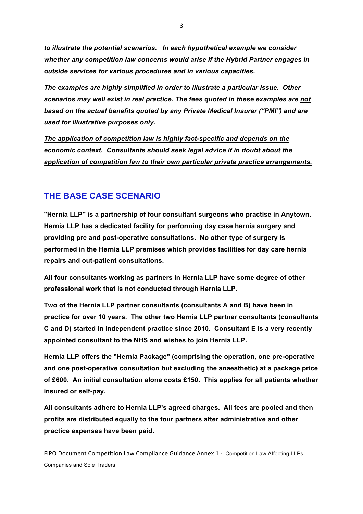*to illustrate the potential scenarios. In each hypothetical example we consider whether any competition law concerns would arise if the Hybrid Partner engages in outside services for various procedures and in various capacities.* 

*The examples are highly simplified in order to illustrate a particular issue. Other scenarios may well exist in real practice. The fees quoted in these examples are not based on the actual benefits quoted by any Private Medical Insurer ("PMI") and are used for illustrative purposes only.*

*The application of competition law is highly fact-specific and depends on the economic context. Consultants should seek legal advice if in doubt about the application of competition law to their own particular private practice arrangements.*

## **THE BASE CASE SCENARIO**

**"Hernia LLP" is a partnership of four consultant surgeons who practise in Anytown. Hernia LLP has a dedicated facility for performing day case hernia surgery and providing pre and post-operative consultations. No other type of surgery is performed in the Hernia LLP premises which provides facilities for day care hernia repairs and out-patient consultations.**

**All four consultants working as partners in Hernia LLP have some degree of other professional work that is not conducted through Hernia LLP.** 

**Two of the Hernia LLP partner consultants (consultants A and B) have been in practice for over 10 years. The other two Hernia LLP partner consultants (consultants C and D) started in independent practice since 2010. Consultant E is a very recently appointed consultant to the NHS and wishes to join Hernia LLP.**

**Hernia LLP offers the "Hernia Package" (comprising the operation, one pre-operative and one post-operative consultation but excluding the anaesthetic) at a package price of £600. An initial consultation alone costs £150. This applies for all patients whether insured or self-pay.** 

**All consultants adhere to Hernia LLP's agreed charges. All fees are pooled and then profits are distributed equally to the four partners after administrative and other practice expenses have been paid.**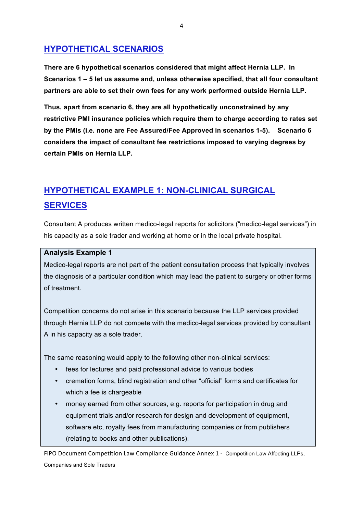## **HYPOTHETICAL SCENARIOS**

**There are 6 hypothetical scenarios considered that might affect Hernia LLP. In Scenarios 1 – 5 let us assume and, unless otherwise specified, that all four consultant partners are able to set their own fees for any work performed outside Hernia LLP.** 

**Thus, apart from scenario 6, they are all hypothetically unconstrained by any restrictive PMI insurance policies which require them to charge according to rates set by the PMIs (i.e. none are Fee Assured/Fee Approved in scenarios 1-5). Scenario 6 considers the impact of consultant fee restrictions imposed to varying degrees by certain PMIs on Hernia LLP.**

## **HYPOTHETICAL EXAMPLE 1: NON-CLINICAL SURGICAL SERVICES**

Consultant A produces written medico-legal reports for solicitors ("medico-legal services") in his capacity as a sole trader and working at home or in the local private hospital.

#### **Analysis Example 1**

Medico-legal reports are not part of the patient consultation process that typically involves the diagnosis of a particular condition which may lead the patient to surgery or other forms of treatment.

Competition concerns do not arise in this scenario because the LLP services provided through Hernia LLP do not compete with the medico-legal services provided by consultant A in his capacity as a sole trader.

The same reasoning would apply to the following other non-clinical services:

- fees for lectures and paid professional advice to various bodies
- cremation forms, blind registration and other "official" forms and certificates for which a fee is chargeable
- money earned from other sources, e.g. reports for participation in drug and equipment trials and/or research for design and development of equipment, software etc, royalty fees from manufacturing companies or from publishers (relating to books and other publications).

FIPO Document Competition Law Compliance Guidance Annex 1 - Competition Law Affecting LLPs, Companies and Sole Traders

4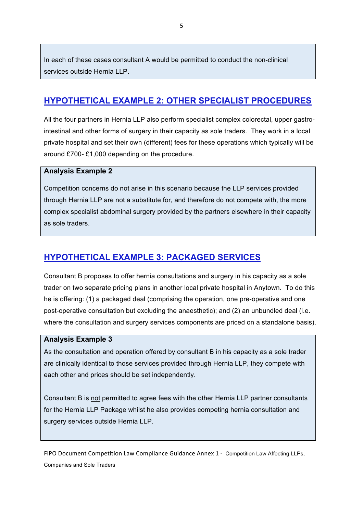In each of these cases consultant A would be permitted to conduct the non-clinical services outside Hernia LLP.

### **HYPOTHETICAL EXAMPLE 2: OTHER SPECIALIST PROCEDURES**

All the four partners in Hernia LLP also perform specialist complex colorectal, upper gastrointestinal and other forms of surgery in their capacity as sole traders. They work in a local private hospital and set their own (different) fees for these operations which typically will be around £700- £1,000 depending on the procedure.

#### **Analysis Example 2**

Competition concerns do not arise in this scenario because the LLP services provided through Hernia LLP are not a substitute for, and therefore do not compete with, the more complex specialist abdominal surgery provided by the partners elsewhere in their capacity as sole traders.

### **HYPOTHETICAL EXAMPLE 3: PACKAGED SERVICES**

Consultant B proposes to offer hernia consultations and surgery in his capacity as a sole trader on two separate pricing plans in another local private hospital in Anytown. To do this he is offering: (1) a packaged deal (comprising the operation, one pre-operative and one post-operative consultation but excluding the anaesthetic); and (2) an unbundled deal (i.e. where the consultation and surgery services components are priced on a standalone basis).

#### **Analysis Example 3**

As the consultation and operation offered by consultant B in his capacity as a sole trader are clinically identical to those services provided through Hernia LLP, they compete with each other and prices should be set independently.

Consultant B is not permitted to agree fees with the other Hernia LLP partner consultants for the Hernia LLP Package whilst he also provides competing hernia consultation and surgery services outside Hernia LLP.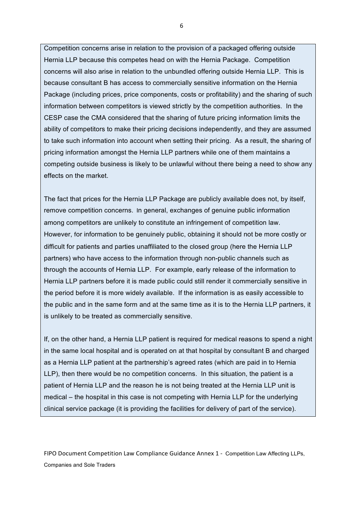Competition concerns arise in relation to the provision of a packaged offering outside Hernia LLP because this competes head on with the Hernia Package. Competition concerns will also arise in relation to the unbundled offering outside Hernia LLP. This is because consultant B has access to commercially sensitive information on the Hernia Package (including prices, price components, costs or profitability) and the sharing of such information between competitors is viewed strictly by the competition authorities. In the CESP case the CMA considered that the sharing of future pricing information limits the ability of competitors to make their pricing decisions independently, and they are assumed to take such information into account when setting their pricing. As a result, the sharing of pricing information amongst the Hernia LLP partners while one of them maintains a competing outside business is likely to be unlawful without there being a need to show any effects on the market.

The fact that prices for the Hernia LLP Package are publicly available does not, by itself, remove competition concerns. In general, exchanges of genuine public information among competitors are unlikely to constitute an infringement of competition law. However, for information to be genuinely public, obtaining it should not be more costly or difficult for patients and parties unaffiliated to the closed group (here the Hernia LLP partners) who have access to the information through non-public channels such as through the accounts of Hernia LLP. For example, early release of the information to Hernia LLP partners before it is made public could still render it commercially sensitive in the period before it is more widely available. If the information is as easily accessible to the public and in the same form and at the same time as it is to the Hernia LLP partners, it is unlikely to be treated as commercially sensitive.

If, on the other hand, a Hernia LLP patient is required for medical reasons to spend a night in the same local hospital and is operated on at that hospital by consultant B and charged as a Hernia LLP patient at the partnership's agreed rates (which are paid in to Hernia LLP), then there would be no competition concerns. In this situation, the patient is a patient of Hernia LLP and the reason he is not being treated at the Hernia LLP unit is medical – the hospital in this case is not competing with Hernia LLP for the underlying clinical service package (it is providing the facilities for delivery of part of the service).

FIPO Document Competition Law Compliance Guidance Annex 1 - Competition Law Affecting LLPs, Companies and Sole Traders

6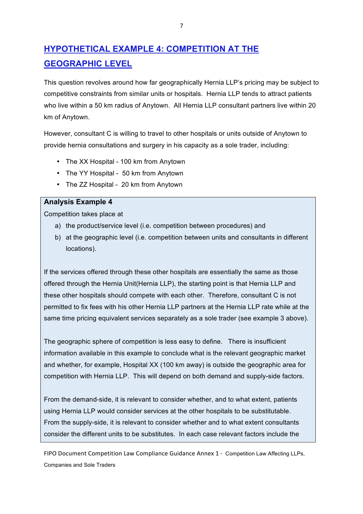## **HYPOTHETICAL EXAMPLE 4: COMPETITION AT THE GEOGRAPHIC LEVEL**

This question revolves around how far geographically Hernia LLP's pricing may be subject to competitive constraints from similar units or hospitals. Hernia LLP tends to attract patients who live within a 50 km radius of Anytown. All Hernia LLP consultant partners live within 20 km of Anytown.

However, consultant C is willing to travel to other hospitals or units outside of Anytown to provide hernia consultations and surgery in his capacity as a sole trader, including:

- The XX Hospital 100 km from Anytown
- The YY Hospital 50 km from Anytown
- The ZZ Hospital 20 km from Anytown

#### **Analysis Example 4**

Competition takes place at

- a) the product/service level (i.e. competition between procedures) and
- b) at the geographic level (i.e. competition between units and consultants in different locations).

If the services offered through these other hospitals are essentially the same as those offered through the Hernia Unit(Hernia LLP), the starting point is that Hernia LLP and these other hospitals should compete with each other. Therefore, consultant C is not permitted to fix fees with his other Hernia LLP partners at the Hernia LLP rate while at the same time pricing equivalent services separately as a sole trader (see example 3 above).

The geographic sphere of competition is less easy to define. There is insufficient information available in this example to conclude what is the relevant geographic market and whether, for example, Hospital XX (100 km away) is outside the geographic area for competition with Hernia LLP. This will depend on both demand and supply-side factors.

From the demand-side, it is relevant to consider whether, and to what extent, patients using Hernia LLP would consider services at the other hospitals to be substitutable. From the supply-side, it is relevant to consider whether and to what extent consultants consider the different units to be substitutes. In each case relevant factors include the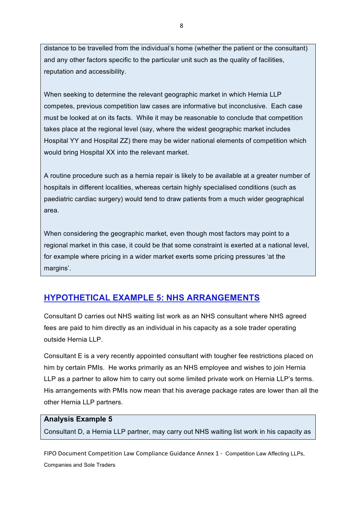distance to be travelled from the individual's home (whether the patient or the consultant) and any other factors specific to the particular unit such as the quality of facilities, reputation and accessibility.

When seeking to determine the relevant geographic market in which Hernia LLP competes, previous competition law cases are informative but inconclusive. Each case must be looked at on its facts. While it may be reasonable to conclude that competition takes place at the regional level (say, where the widest geographic market includes Hospital YY and Hospital ZZ) there may be wider national elements of competition which would bring Hospital XX into the relevant market.

A routine procedure such as a hernia repair is likely to be available at a greater number of hospitals in different localities, whereas certain highly specialised conditions (such as paediatric cardiac surgery) would tend to draw patients from a much wider geographical area.

When considering the geographic market, even though most factors may point to a regional market in this case, it could be that some constraint is exerted at a national level, for example where pricing in a wider market exerts some pricing pressures 'at the margins'.

#### **HYPOTHETICAL EXAMPLE 5: NHS ARRANGEMENTS**

Consultant D carries out NHS waiting list work as an NHS consultant where NHS agreed fees are paid to him directly as an individual in his capacity as a sole trader operating outside Hernia LLP.

Consultant E is a very recently appointed consultant with tougher fee restrictions placed on him by certain PMIs. He works primarily as an NHS employee and wishes to join Hernia LLP as a partner to allow him to carry out some limited private work on Hernia LLP's terms. His arrangements with PMIs now mean that his average package rates are lower than all the other Hernia LLP partners.

#### **Analysis Example 5**

Consultant D, a Hernia LLP partner, may carry out NHS waiting list work in his capacity as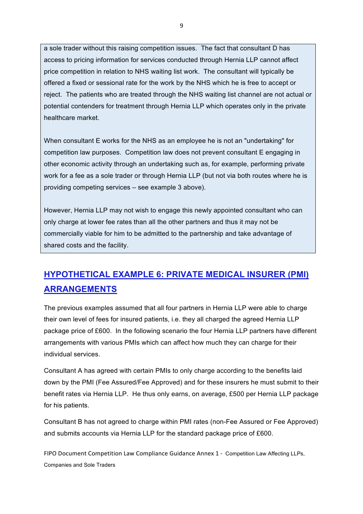a sole trader without this raising competition issues. The fact that consultant D has access to pricing information for services conducted through Hernia LLP cannot affect price competition in relation to NHS waiting list work. The consultant will typically be offered a fixed or sessional rate for the work by the NHS which he is free to accept or reject. The patients who are treated through the NHS waiting list channel are not actual or potential contenders for treatment through Hernia LLP which operates only in the private healthcare market.

When consultant E works for the NHS as an employee he is not an "undertaking" for competition law purposes. Competition law does not prevent consultant E engaging in other economic activity through an undertaking such as, for example, performing private work for a fee as a sole trader or through Hernia LLP (but not via both routes where he is providing competing services – see example 3 above).

However, Hernia LLP may not wish to engage this newly appointed consultant who can only charge at lower fee rates than all the other partners and thus it may not be commercially viable for him to be admitted to the partnership and take advantage of shared costs and the facility.

## **HYPOTHETICAL EXAMPLE 6: PRIVATE MEDICAL INSURER (PMI) ARRANGEMENTS**

The previous examples assumed that all four partners in Hernia LLP were able to charge their own level of fees for insured patients, i.e. they all charged the agreed Hernia LLP package price of £600. In the following scenario the four Hernia LLP partners have different arrangements with various PMIs which can affect how much they can charge for their individual services.

Consultant A has agreed with certain PMIs to only charge according to the benefits laid down by the PMI (Fee Assured/Fee Approved) and for these insurers he must submit to their benefit rates via Hernia LLP. He thus only earns, on average, £500 per Hernia LLP package for his patients.

Consultant B has not agreed to charge within PMI rates (non-Fee Assured or Fee Approved) and submits accounts via Hernia LLP for the standard package price of £600.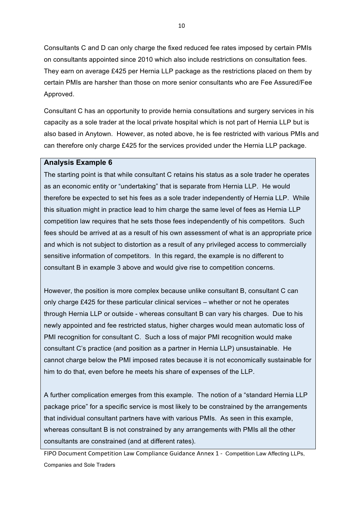Consultants C and D can only charge the fixed reduced fee rates imposed by certain PMIs on consultants appointed since 2010 which also include restrictions on consultation fees. They earn on average £425 per Hernia LLP package as the restrictions placed on them by certain PMIs are harsher than those on more senior consultants who are Fee Assured/Fee Approved.

Consultant C has an opportunity to provide hernia consultations and surgery services in his capacity as a sole trader at the local private hospital which is not part of Hernia LLP but is also based in Anytown. However, as noted above, he is fee restricted with various PMIs and can therefore only charge £425 for the services provided under the Hernia LLP package.

#### **Analysis Example 6**

The starting point is that while consultant C retains his status as a sole trader he operates as an economic entity or "undertaking" that is separate from Hernia LLP. He would therefore be expected to set his fees as a sole trader independently of Hernia LLP. While this situation might in practice lead to him charge the same level of fees as Hernia LLP competition law requires that he sets those fees independently of his competitors. Such fees should be arrived at as a result of his own assessment of what is an appropriate price and which is not subject to distortion as a result of any privileged access to commercially sensitive information of competitors. In this regard, the example is no different to consultant B in example 3 above and would give rise to competition concerns.

However, the position is more complex because unlike consultant B, consultant C can only charge £425 for these particular clinical services – whether or not he operates through Hernia LLP or outside - whereas consultant B can vary his charges. Due to his newly appointed and fee restricted status, higher charges would mean automatic loss of PMI recognition for consultant C. Such a loss of major PMI recognition would make consultant C's practice (and position as a partner in Hernia LLP) unsustainable. He cannot charge below the PMI imposed rates because it is not economically sustainable for him to do that, even before he meets his share of expenses of the LLP.

A further complication emerges from this example. The notion of a "standard Hernia LLP package price" for a specific service is most likely to be constrained by the arrangements that individual consultant partners have with various PMIs. As seen in this example, whereas consultant B is not constrained by any arrangements with PMIs all the other consultants are constrained (and at different rates).